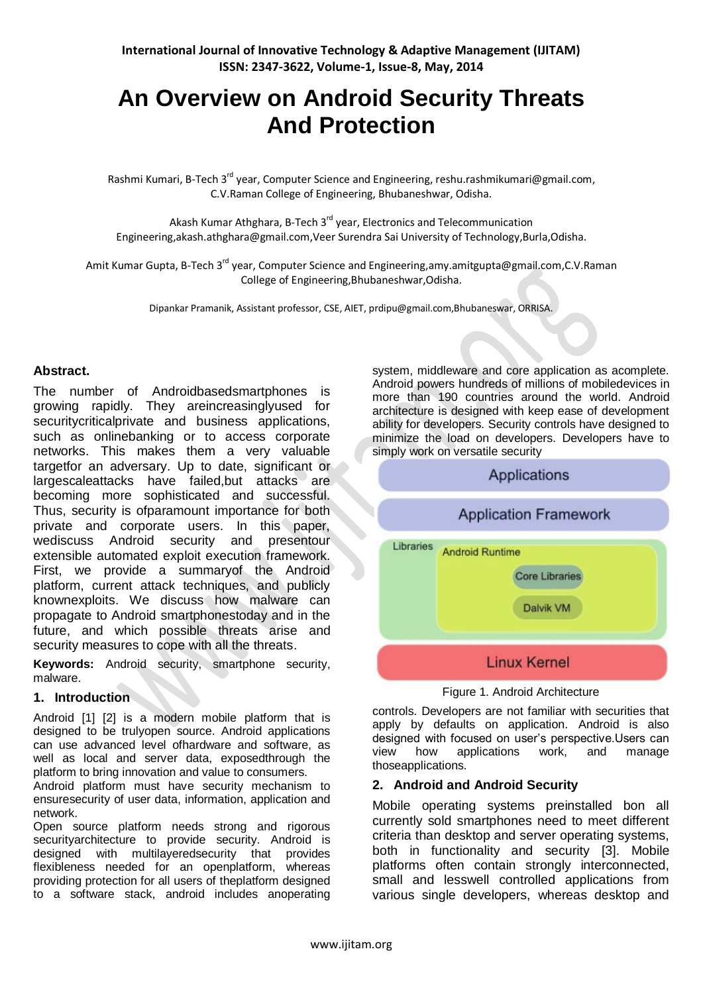# **An Overview on Android Security Threats And Protection**

Rashmi Kumari, B-Tech 3<sup>rd</sup> year, Computer Science and Engineering, [reshu.rashmikumari@gmail.com,](mailto:reshu.rashmikumari@gmail.com) C.V.Raman College of Engineering, Bhubaneshwar, Odisha.

Akash Kumar Athghara, B-Tech 3<sup>rd</sup> year, Electronics and Telecommunication Engineering[,akash.athghara@gmail.com,](mailto:akash.athghara@gmail.com)Veer Surendra Sai University of Technology,Burla,Odisha.

Amit Kumar Gupta, B-Tech 3<sup>rd</sup> year, Computer Science and Engineering, amy. amitgupta@gmail.com, C.V. Raman College of Engineering,Bhubaneshwar,Odisha.

Dipankar Pramanik, Assistant professor, CSE, AIET, prdipu@gmail.com,Bhubaneswar, ORRISA.

#### **Abstract.**

The number of Androidbasedsmartphones is growing rapidly. They areincreasinglyused for securitycriticalprivate and business applications, such as onlinebanking or to access corporate networks. This makes them a very valuable targetfor an adversary. Up to date, significant or largescaleattacks have failed,but attacks are becoming more sophisticated and successful. Thus, security is ofparamount importance for both private and corporate users. In this paper, wediscuss Android security and presentour extensible automated exploit execution framework. First, we provide a summaryof the Android platform, current attack techniques, and publicly knownexploits. We discuss how malware can propagate to Android smartphonestoday and in the future, and which possible threats arise and security measures to cope with all the threats.

**Keywords:** Android security, smartphone security, malware.

#### **1. Introduction**

Android [1] [2] is a modern mobile platform that is designed to be trulyopen source. Android applications can use advanced level ofhardware and software, as well as local and server data, exposedthrough the platform to bring innovation and value to consumers.

Android platform must have security mechanism to ensuresecurity of user data, information, application and network.

Open source platform needs strong and rigorous securityarchitecture to provide security. Android is designed with multilayeredsecurity that provides flexibleness needed for an openplatform, whereas providing protection for all users of theplatform designed to a software stack, android includes anoperating system, middleware and core application as acomplete. Android powers hundreds of millions of mobiledevices in more than 190 countries around the world. Android architecture is designed with keep ease of development ability for developers. Security controls have designed to minimize the load on developers. Developers have to simply work on versatile security



Figure 1. Android Architecture

controls. Developers are not familiar with securities that apply by defaults on application. Android is also designed with focused on user"s perspective.Users can view how applications work, and manage thoseapplications.

#### **2. Android and Android Security**

Mobile operating systems preinstalled bon all currently sold smartphones need to meet different criteria than desktop and server operating systems, both in functionality and security [3]. Mobile platforms often contain strongly interconnected, small and lesswell controlled applications from various single developers, whereas desktop and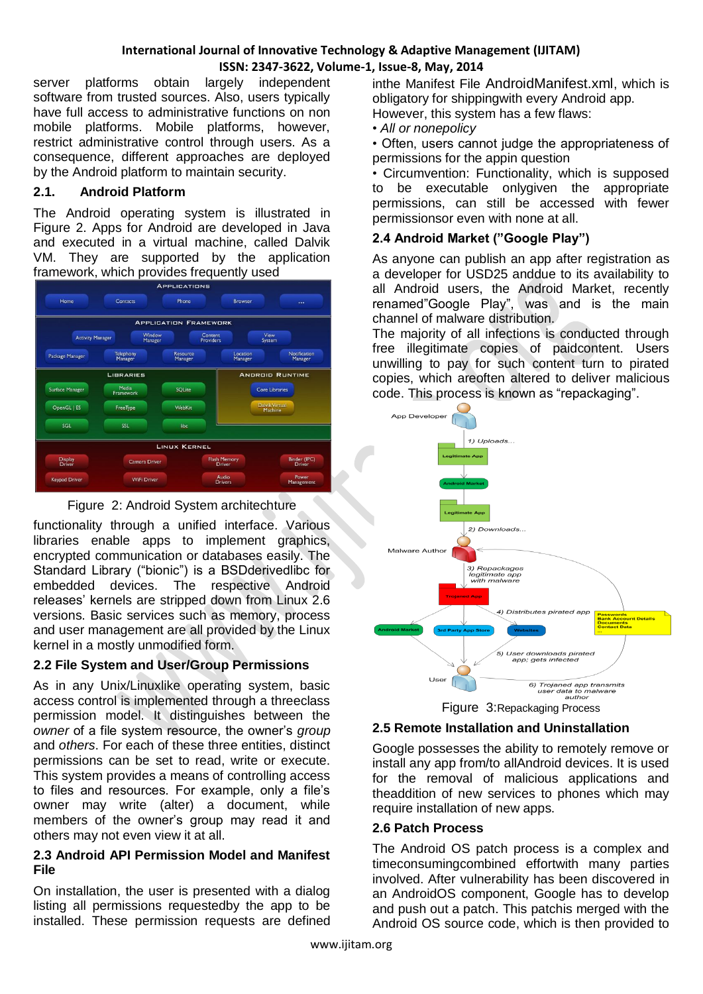server platforms obtain largely independent software from trusted sources. Also, users typically have full access to administrative functions on non mobile platforms. Mobile platforms, however, restrict administrative control through users. As a consequence, different approaches are deployed by the Android platform to maintain security.

# **2.1. Android Platform**

The Android operating system is illustrated in Figure 2. Apps for Android are developed in Java and executed in a virtual machine, called Dalvik VM. They are supported by the application framework, which provides frequently used

|                         |                      | <b>APPLICATION FRAMEWORK</b> |                                  |                         |
|-------------------------|----------------------|------------------------------|----------------------------------|-------------------------|
| <b>Activity Manager</b> | Window<br>Manager    | Content<br><b>Providers</b>  | View<br>System                   |                         |
| Package Manager         | Telephony<br>Manager | <b>Resource</b><br>Manager   | Location<br>Manager              | Notification<br>Manager |
| <b>LIBRARIES</b>        |                      |                              | <b>ANDROID RUNTIME</b>           |                         |
| Surface Manager         | Media<br>Framework   | SQLite                       |                                  | <b>Core Libraries</b>   |
| OpenGL   ES             | FreeType             | <b>WebKit</b>                | <b>Daivik Virtual</b><br>Machine |                         |
| <b>SGL</b>              | <b>SSL</b>           | libe                         |                                  |                         |
|                         |                      |                              |                                  |                         |
|                         |                      | <b>LINUX KERNEL</b>          |                                  |                         |



functionality through a unified interface. Various libraries enable apps to implement graphics, encrypted communication or databases easily. The Standard Library ("bionic") is a BSDderivedlibc for embedded devices. The respective Android releases" kernels are stripped down from Linux 2.6 versions. Basic services such as memory, process and user management are all provided by the Linux kernel in a mostly unmodified form.

# **2.2 File System and User/Group Permissions**

As in any Unix/Linuxlike operating system, basic access control is implemented through a threeclass permission model. It distinguishes between the *owner* of a file system resource, the owner"s *group*  and *others*. For each of these three entities, distinct permissions can be set to read, write or execute. This system provides a means of controlling access to files and resources. For example, only a file"s owner may write (alter) a document, while members of the owner"s group may read it and others may not even view it at all.

#### **2.3 Android API Permission Model and Manifest File**

On installation, the user is presented with a dialog listing all permissions requestedby the app to be installed. These permission requests are defined inthe Manifest File AndroidManifest.xml, which is obligatory for shippingwith every Android app. However, this system has a few flaws:

• *All or nonepolicy*

• Often, users cannot judge the appropriateness of permissions for the appin question

• Circumvention: Functionality, which is supposed to be executable onlygiven the appropriate permissions, can still be accessed with fewer permissionsor even with none at all.

### **2.4 Android Market ("Google Play")**

As anyone can publish an app after registration as a developer for USD25 anddue to its availability to all Android users, the Android Market, recently renamed"Google Play", was and is the main channel of malware distribution.

The majority of all infections is conducted through free illegitimate copies of paidcontent. Users unwilling to pay for such content turn to pirated copies, which areoften altered to deliver malicious code. This process is known as "repackaging".



# Figure 3:Repackaging Process

### **2.5 Remote Installation and Uninstallation**

Google possesses the ability to remotely remove or install any app from/to allAndroid devices. It is used for the removal of malicious applications and theaddition of new services to phones which may require installation of new apps.

### **2.6 Patch Process**

The Android OS patch process is a complex and timeconsumingcombined effortwith many parties involved. After vulnerability has been discovered in an AndroidOS component, Google has to develop and push out a patch. This patchis merged with the Android OS source code, which is then provided to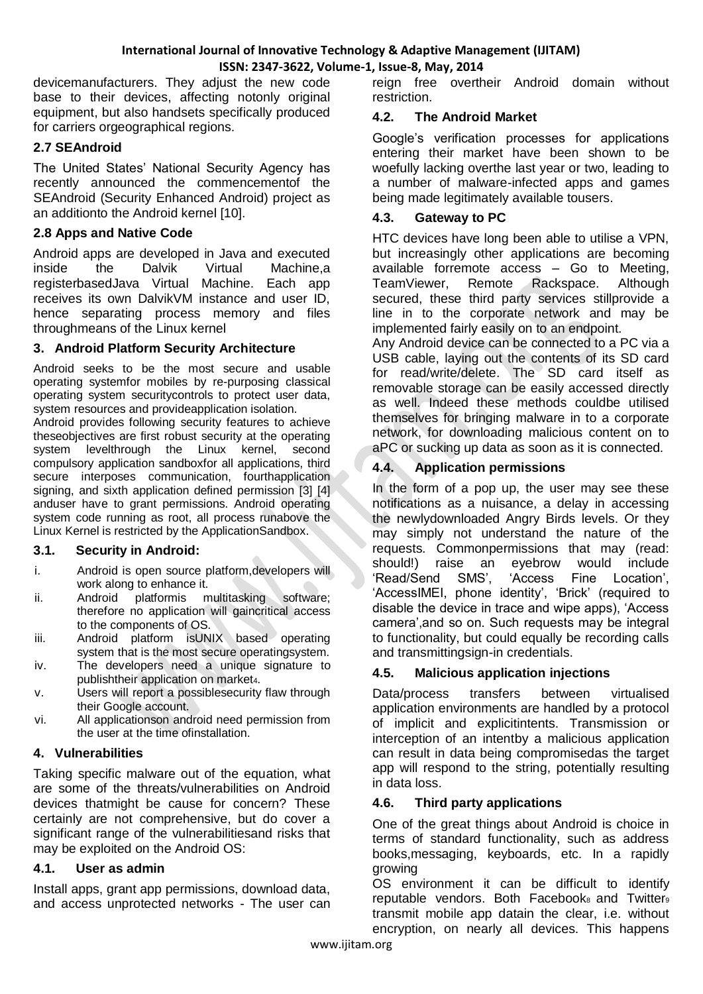devicemanufacturers. They adjust the new code base to their devices, affecting notonly original equipment, but also handsets specifically produced for carriers orgeographical regions.

## **2.7 SEAndroid**

The United States" National Security Agency has recently announced the commencementof the SEAndroid (Security Enhanced Android) project as an additionto the Android kernel [10].

### **2.8 Apps and Native Code**

Android apps are developed in Java and executed inside the Dalvik Virtual Machine,a registerbasedJava Virtual Machine. Each app receives its own DalvikVM instance and user ID, hence separating process memory and files throughmeans of the Linux kernel

### **3. Android Platform Security Architecture**

Android seeks to be the most secure and usable operating systemfor mobiles by re-purposing classical operating system securitycontrols to protect user data, system resources and provideapplication isolation.

Android provides following security features to achieve theseobjectives are first robust security at the operating system levelthrough the Linux kernel, second compulsory application sandboxfor all applications, third secure interposes communication, fourthapplication signing, and sixth application defined permission [3] [4] anduser have to grant permissions. Android operating system code running as root, all process runabove the Linux Kernel is restricted by the ApplicationSandbox.

### **3.1. Security in Android:**

- i. Android is open source platform,developers will work along to enhance it.<br>Android platformis multitasking
- ii. Android platformis multitasking software; therefore no application will gaincritical access to the components of OS.
- iii. Android platform isUNIX based operating system that is the most secure operatingsystem.
- iv. The developers need a unique signature to publishtheir application on market4.
- v. Users will report a possiblesecurity flaw through their Google account.
- vi. All applicationson android need permission from the user at the time ofinstallation.

### **4. Vulnerabilities**

Taking specific malware out of the equation, what are some of the threats/vulnerabilities on Android devices thatmight be cause for concern? These certainly are not comprehensive, but do cover a significant range of the vulnerabilitiesand risks that may be exploited on the Android OS:

### **4.1. User as admin**

Install apps, grant app permissions, download data, and access unprotected networks - The user can reign free overtheir Android domain without restriction.

### **4.2. The Android Market**

Google"s verification processes for applications entering their market have been shown to be woefully lacking overthe last year or two, leading to a number of malware-infected apps and games being made legitimately available tousers.

### **4.3. Gateway to PC**

HTC devices have long been able to utilise a VPN, but increasingly other applications are becoming available forremote access – Go to Meeting, TeamViewer, Remote Rackspace. Although secured, these third party services stillprovide a line in to the corporate network and may be implemented fairly easily on to an endpoint.

Any Android device can be connected to a PC via a USB cable, laying out the contents of its SD card for read/write/delete. The SD card itself as removable storage can be easily accessed directly as well. Indeed these methods couldbe utilised themselves for bringing malware in to a corporate network, for downloading malicious content on to aPC or sucking up data as soon as it is connected.

### **4.4. Application permissions**

In the form of a pop up, the user may see these notifications as a nuisance, a delay in accessing the newlydownloaded Angry Birds levels. Or they may simply not understand the nature of the requests. Commonpermissions that may (read: should!) raise an eyebrow would include "Read/Send SMS", "Access Fine Location", 'AccessIMEI, phone identity', 'Brick' (required to disable the device in trace and wipe apps), "Access camera",and so on. Such requests may be integral to functionality, but could equally be recording calls and transmittingsign-in credentials.

#### **4.5. Malicious application injections**

Data/process transfers between virtualised application environments are handled by a protocol of implicit and explicitintents. Transmission or interception of an intentby a malicious application can result in data being compromisedas the target app will respond to the string, potentially resulting in data loss.

#### **4.6. Third party applications**

One of the great things about Android is choice in terms of standard functionality, such as address books,messaging, keyboards, etc. In a rapidly growing

OS environment it can be difficult to identify reputable vendors. Both Facebook<sub>8</sub> and Twitter<sub>9</sub> transmit mobile app datain the clear, i.e. without encryption, on nearly all devices. This happens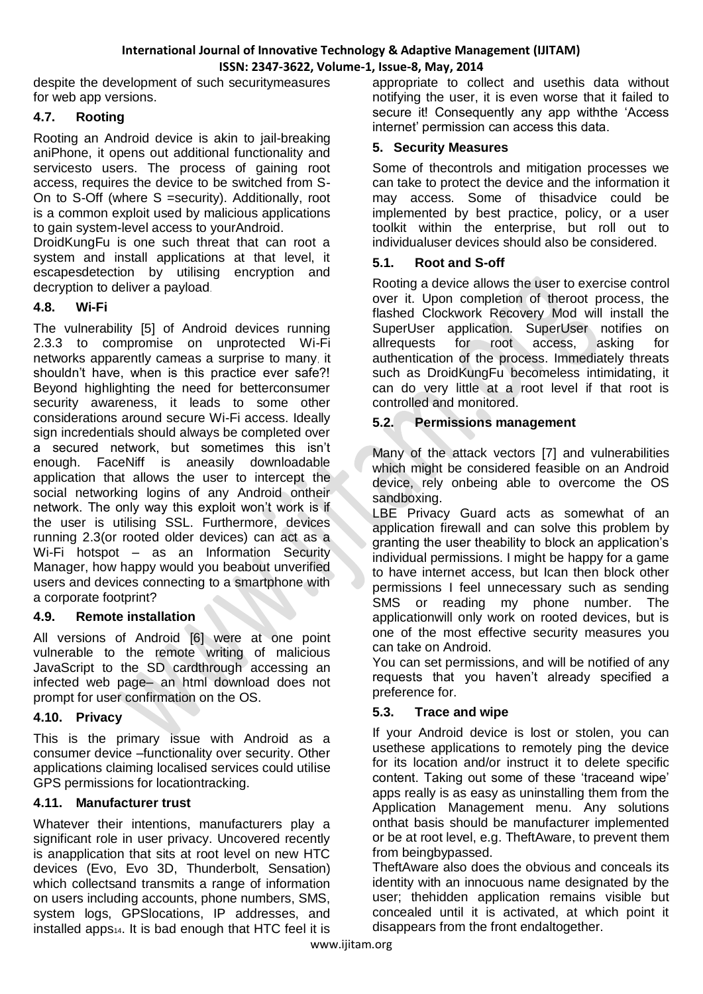despite the development of such securitymeasures for web app versions.

# **4.7. Rooting**

Rooting an Android device is akin to jail-breaking aniPhone, it opens out additional functionality and servicesto users. The process of gaining root access, requires the device to be switched from S-On to S-Off (where S =security). Additionally, root is a common exploit used by malicious applications to gain system-level access to yourAndroid.

DroidKungFu is one such threat that can root a system and install applications at that level, it escapesdetection by utilising encryption and decryption to deliver a payload.

# **4.8. Wi-Fi**

The vulnerability [5] of Android devices running 2.3.3 to compromise on unprotected Wi-Fi networks apparently cameas a surprise to many, it shouldn"t have, when is this practice ever safe?! Beyond highlighting the need for betterconsumer security awareness, it leads to some other considerations around secure Wi-Fi access. Ideally sign incredentials should always be completed over a secured network, but sometimes this isn"t enough. FaceNiff is aneasily downloadable application that allows the user to intercept the social networking logins of any Android ontheir network. The only way this exploit won"t work is if the user is utilising SSL. Furthermore, devices running 2.3(or rooted older devices) can act as a Wi-Fi hotspot – as an Information Security Manager, how happy would you beabout unverified users and devices connecting to a smartphone with a corporate footprint?

### **4.9. Remote installation**

All versions of Android [6] were at one point vulnerable to the remote writing of malicious JavaScript to the SD cardthrough accessing an infected web page– an html download does not prompt for user confirmation on the OS.

# **4.10. Privacy**

This is the primary issue with Android as a consumer device –functionality over security. Other applications claiming localised services could utilise GPS permissions for locationtracking.

# **4.11. Manufacturer trust**

Whatever their intentions, manufacturers play a significant role in user privacy. Uncovered recently is anapplication that sits at root level on new HTC devices (Evo, Evo 3D, Thunderbolt, Sensation) which collectsand transmits a range of information on users including accounts, phone numbers, SMS, system logs, GPSlocations, IP addresses, and installed apps<sub>14</sub>. It is bad enough that HTC feel it is

appropriate to collect and usethis data without notifying the user, it is even worse that it failed to secure it! Consequently any app withthe 'Access' internet" permission can access this data.

# **5. Security Measures**

Some of thecontrols and mitigation processes we can take to protect the device and the information it may access. Some of thisadvice could be implemented by best practice, policy, or a user toolkit within the enterprise, but roll out to individualuser devices should also be considered.

# **5.1. Root and S-off**

Rooting a device allows the user to exercise control over it. Upon completion of theroot process, the flashed Clockwork Recovery Mod will install the SuperUser application. SuperUser notifies on allrequests for root access, asking for authentication of the process. Immediately threats such as DroidKungFu becomeless intimidating, it can do very little at a root level if that root is controlled and monitored.

# **5.2. Permissions management**

Many of the attack vectors [7] and vulnerabilities which might be considered feasible on an Android device, rely onbeing able to overcome the OS sandboxing.

LBE Privacy Guard acts as somewhat of an application firewall and can solve this problem by granting the user theability to block an application"s individual permissions. I might be happy for a game to have internet access, but Ican then block other permissions I feel unnecessary such as sending SMS or reading my phone number. The applicationwill only work on rooted devices, but is one of the most effective security measures you can take on Android.

You can set permissions, and will be notified of any requests that you haven't already specified a preference for.

# **5.3. Trace and wipe**

If your Android device is lost or stolen, you can usethese applications to remotely ping the device for its location and/or instruct it to delete specific content. Taking out some of these "traceand wipe" apps really is as easy as uninstalling them from the Application Management menu. Any solutions onthat basis should be manufacturer implemented or be at root level, e.g. TheftAware, to prevent them from beingbypassed.

TheftAware also does the obvious and conceals its identity with an innocuous name designated by the user; thehidden application remains visible but concealed until it is activated, at which point it disappears from the front endaltogether.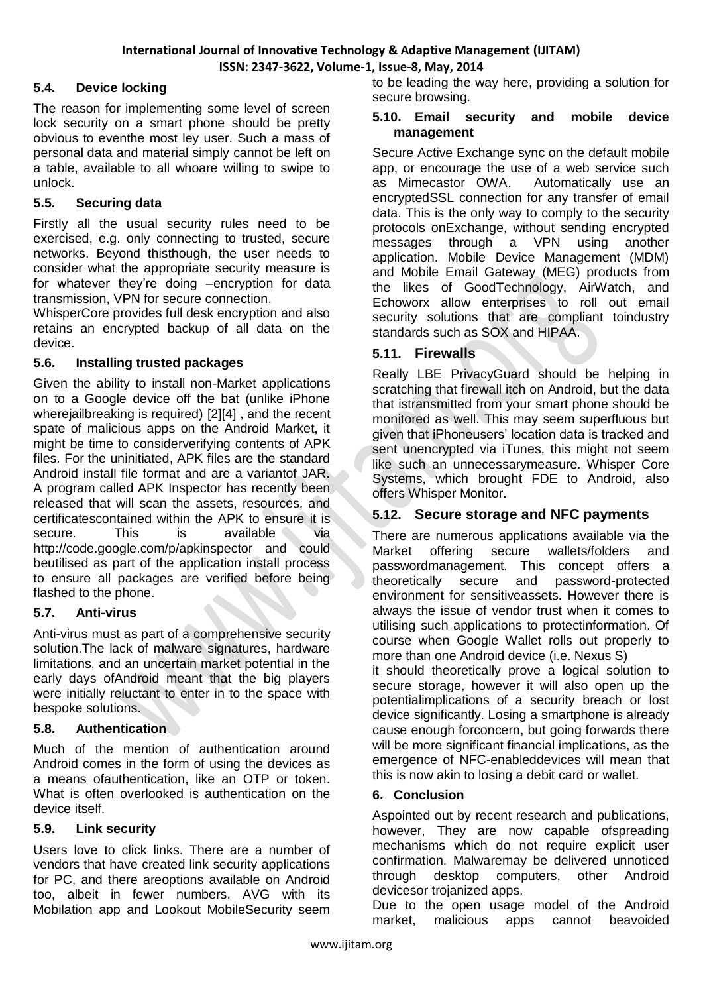## **5.4. Device locking**

The reason for implementing some level of screen lock security on a smart phone should be pretty obvious to eventhe most ley user. Such a mass of personal data and material simply cannot be left on a table, available to all whoare willing to swipe to unlock.

## **5.5. Securing data**

Firstly all the usual security rules need to be exercised, e.g. only connecting to trusted, secure networks. Beyond thisthough, the user needs to consider what the appropriate security measure is for whatever they"re doing –encryption for data transmission, VPN for secure connection.

WhisperCore provides full desk encryption and also retains an encrypted backup of all data on the device.

### **5.6. Installing trusted packages**

Given the ability to install non-Market applications on to a Google device off the bat (unlike iPhone wherejailbreaking is required) [2][4] , and the recent spate of malicious apps on the Android Market, it might be time to considerverifying contents of APK files. For the uninitiated, APK files are the standard Android install file format and are a variantof JAR. A program called APK Inspector has recently been released that will scan the assets, resources, and certificatescontained within the APK to ensure it is secure. This is available via http://code.google.com/p/apkinspector and could beutilised as part of the application install process to ensure all packages are verified before being flashed to the phone.

### **5.7. Anti-virus**

Anti-virus must as part of a comprehensive security solution.The lack of malware signatures, hardware limitations, and an uncertain market potential in the early days ofAndroid meant that the big players were initially reluctant to enter in to the space with bespoke solutions.

### **5.8. Authentication**

Much of the mention of authentication around Android comes in the form of using the devices as a means ofauthentication, like an OTP or token. What is often overlooked is authentication on the device itself.

### **5.9. Link security**

Users love to click links. There are a number of vendors that have created link security applications for PC, and there areoptions available on Android too, albeit in fewer numbers. AVG with its Mobilation app and Lookout MobileSecurity seem to be leading the way here, providing a solution for secure browsing.

#### **5.10. Email security and mobile device management**

Secure Active Exchange sync on the default mobile app, or encourage the use of a web service such as Mimecastor OWA. Automatically use an encryptedSSL connection for any transfer of email data. This is the only way to comply to the security protocols onExchange, without sending encrypted messages through a VPN using another application. Mobile Device Management (MDM) and Mobile Email Gateway (MEG) products from the likes of GoodTechnology, AirWatch, and Echoworx allow enterprises to roll out email security solutions that are compliant toindustry standards such as SOX and HIPAA.

### **5.11. Firewalls**

Really LBE PrivacyGuard should be helping in scratching that firewall itch on Android, but the data that istransmitted from your smart phone should be monitored as well. This may seem superfluous but given that iPhoneusers" location data is tracked and sent unencrypted via iTunes, this might not seem like such an unnecessarymeasure. Whisper Core Systems, which brought FDE to Android, also offers Whisper Monitor.

### **5.12. Secure storage and NFC payments**

There are numerous applications available via the Market offering secure wallets/folders and passwordmanagement. This concept offers a theoretically secure and password-protected environment for sensitiveassets. However there is always the issue of vendor trust when it comes to utilising such applications to protectinformation. Of course when Google Wallet rolls out properly to more than one Android device (i.e. Nexus S)

it should theoretically prove a logical solution to secure storage, however it will also open up the potentialimplications of a security breach or lost device significantly. Losing a smartphone is already cause enough forconcern, but going forwards there will be more significant financial implications, as the emergence of NFC-enableddevices will mean that this is now akin to losing a debit card or wallet.

#### **6. Conclusion**

Aspointed out by recent research and publications, however, They are now capable ofspreading mechanisms which do not require explicit user confirmation. Malwaremay be delivered unnoticed through desktop computers, other Android devicesor trojanized apps.

Due to the open usage model of the Android market, malicious apps cannot beavoided